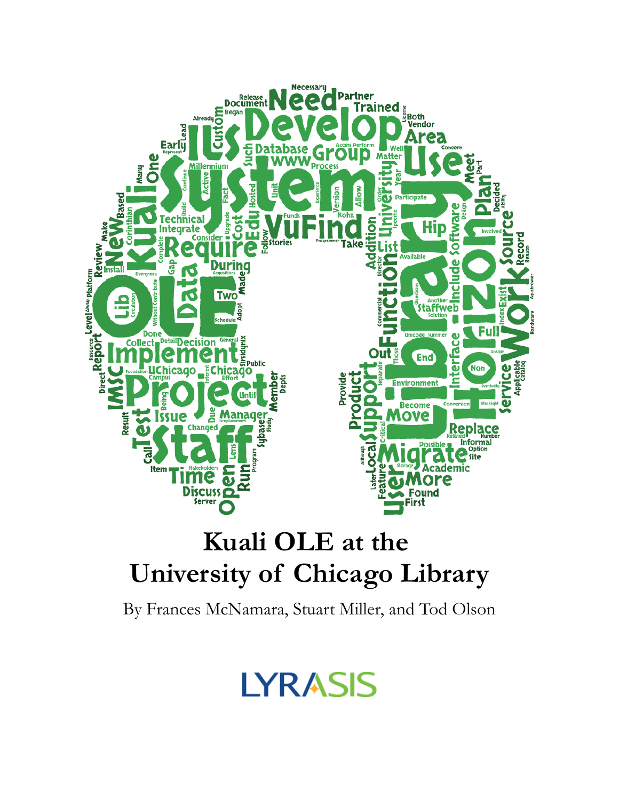

## **Kuali OLE at the University of Chicago Library**

By Frances McNamara, Stuart Miller, and Tod Olson

# **LYRASIS**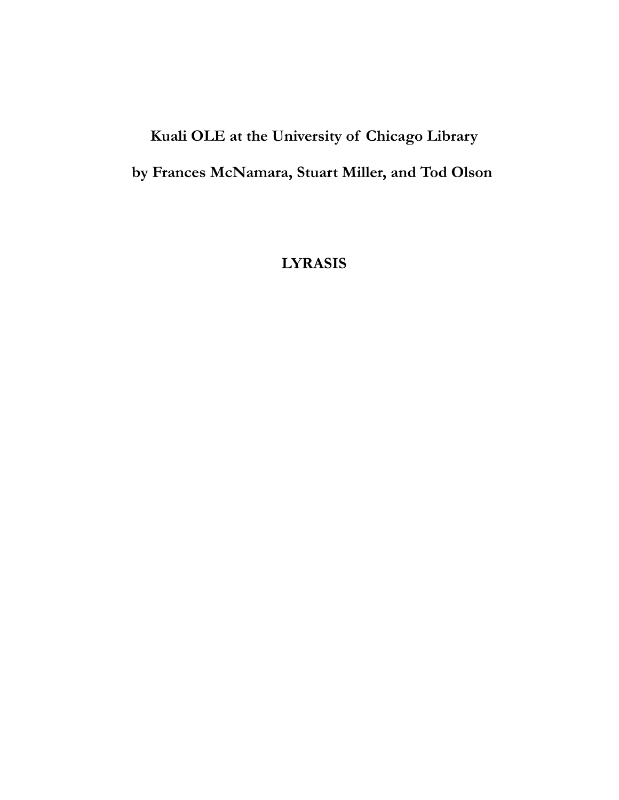## **Kuali OLE at the University of Chicago Library by Frances McNamara, Stuart Miller, and Tod Olson**

**LYRASIS**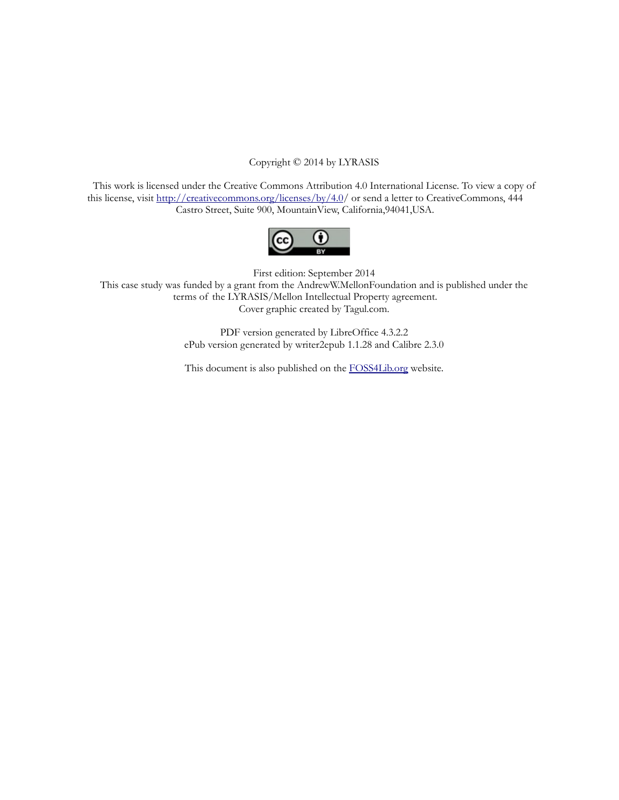#### Copyright © 2014 by LYRASIS

This work is licensed under the Creative Commons Attribution 4.0 International License. To view a copy of this license, visit [http://creativecommons.org/licenses/by/4.0/](http://creativecommons.org/licenses/by/4.0) or send a letter to CreativeCommons, 444 Castro Street, Suite 900, MountainView, California,94041,USA.



First edition: September 2014

This case study was funded by a grant from the AndrewW.MellonFoundation and is published under the terms of the LYRASIS/Mellon Intellectual Property agreement. Cover graphic created by Tagul.com.

> PDF version generated by LibreOffice 4.3.2.2 ePub version generated by writer2epub 1.1.28 and Calibre 2.3.0

> This document is also published on the [FOSS4Lib.org](https://foss4lib.org/) website.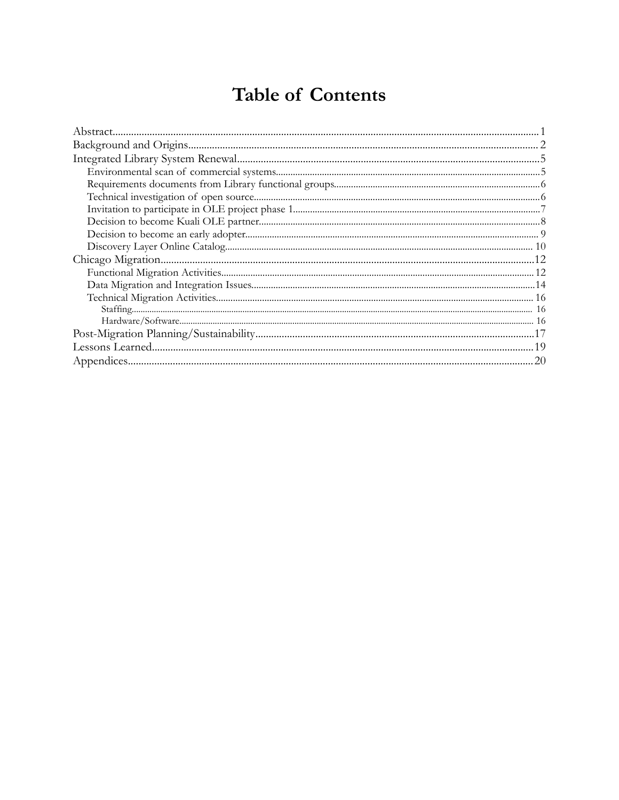### **Table of Contents**

| 20 |
|----|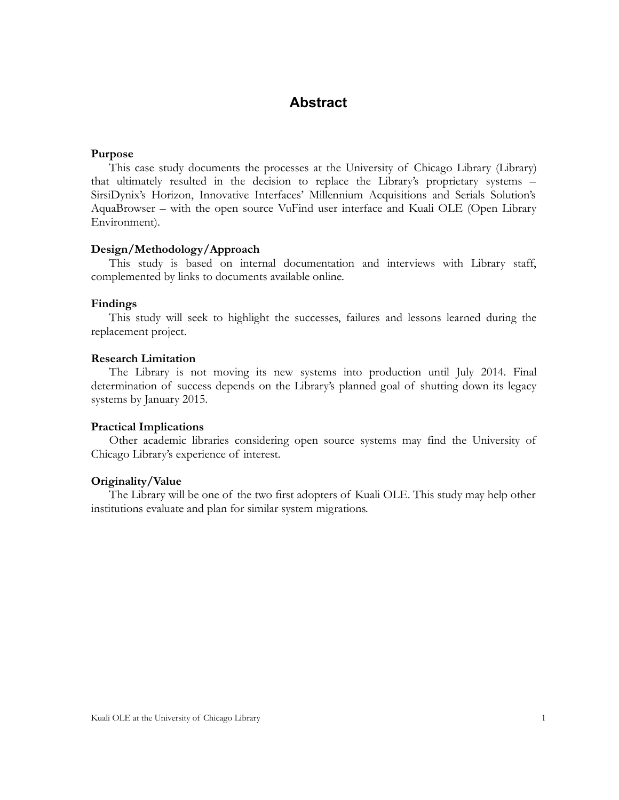### <span id="page-4-0"></span>**Abstract**

#### **Purpose**

This case study documents the processes at the University of Chicago Library (Library) that ultimately resulted in the decision to replace the Library's proprietary systems – SirsiDynix's Horizon, Innovative Interfaces' Millennium Acquisitions and Serials Solution's AquaBrowser – with the open source VuFind user interface and Kuali OLE (Open Library Environment).

#### **Design/Methodology/Approach**

This study is based on internal documentation and interviews with Library staff, complemented by links to documents available online.

#### **Findings**

This study will seek to highlight the successes, failures and lessons learned during the replacement project.

#### **Research Limitation**

The Library is not moving its new systems into production until July 2014. Final determination of success depends on the Library's planned goal of shutting down its legacy systems by January 2015.

#### **Practical Implications**

Other academic libraries considering open source systems may find the University of Chicago Library's experience of interest.

#### **Originality/Value**

The Library will be one of the two first adopters of Kuali OLE. This study may help other institutions evaluate and plan for similar system migrations.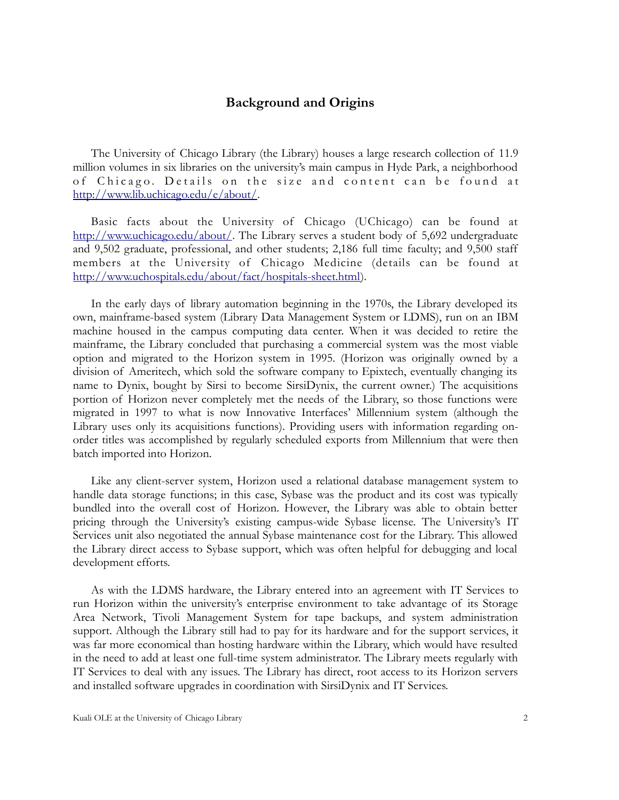#### <span id="page-5-0"></span>**Background and Origins**

The University of Chicago Library (the Library) houses a large research collection of 11.9 million volumes in six libraries on the university's main campus in Hyde Park, a neighborhood of Chicago. Details on the size and content can be found at [http://www.lib.uchicago.edu/e/about/.](http://www.lib.uchicago.edu/e/about/)

Basic facts about the University of Chicago (UChicago) can be found at [http://www.uchicago.edu/about/.](http://www.uchicago.edu/about/) The Library serves a student body of 5,692 undergraduate and 9,502 graduate, professional, and other students; 2,186 full time faculty; and 9,500 staff members at the University of Chicago Medicine (details can be found at [http://www.uchospitals.edu/about/fact/hospitals-sheet.html\)](http://www.uchospitals.edu/about/fact/hospitals-sheet.html).

In the early days of library automation beginning in the 1970s, the Library developed its own, mainframe-based system (Library Data Management System or LDMS), run on an IBM machine housed in the campus computing data center. When it was decided to retire the mainframe, the Library concluded that purchasing a commercial system was the most viable option and migrated to the Horizon system in 1995. (Horizon was originally owned by a division of Ameritech, which sold the software company to Epixtech, eventually changing its name to Dynix, bought by Sirsi to become SirsiDynix, the current owner.) The acquisitions portion of Horizon never completely met the needs of the Library, so those functions were migrated in 1997 to what is now Innovative Interfaces' Millennium system (although the Library uses only its acquisitions functions). Providing users with information regarding onorder titles was accomplished by regularly scheduled exports from Millennium that were then batch imported into Horizon.

Like any client-server system, Horizon used a relational database management system to handle data storage functions; in this case, Sybase was the product and its cost was typically bundled into the overall cost of Horizon. However, the Library was able to obtain better pricing through the University's existing campus-wide Sybase license. The University's IT Services unit also negotiated the annual Sybase maintenance cost for the Library. This allowed the Library direct access to Sybase support, which was often helpful for debugging and local development efforts.

As with the LDMS hardware, the Library entered into an agreement with IT Services to run Horizon within the university's enterprise environment to take advantage of its Storage Area Network, Tivoli Management System for tape backups, and system administration support. Although the Library still had to pay for its hardware and for the support services, it was far more economical than hosting hardware within the Library, which would have resulted in the need to add at least one full-time system administrator. The Library meets regularly with IT Services to deal with any issues. The Library has direct, root access to its Horizon servers and installed software upgrades in coordination with SirsiDynix and IT Services.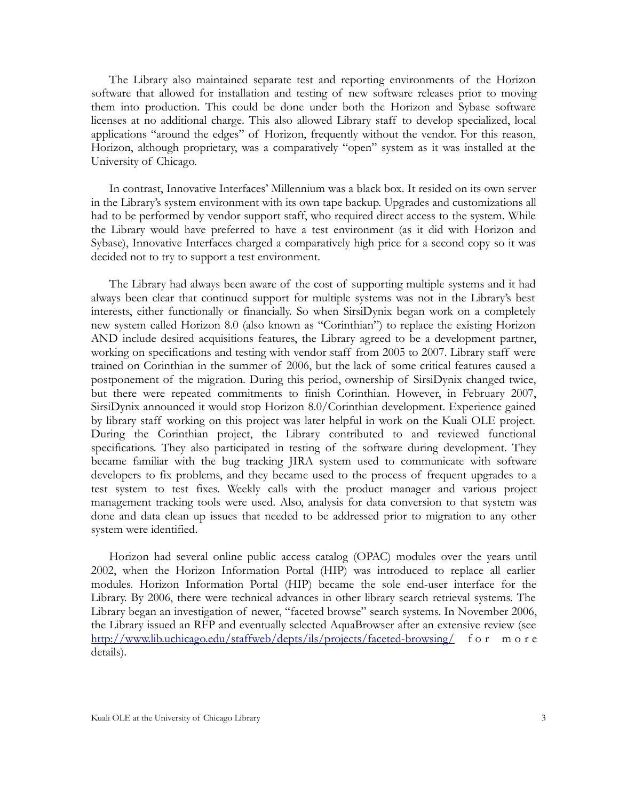The Library also maintained separate test and reporting environments of the Horizon software that allowed for installation and testing of new software releases prior to moving them into production. This could be done under both the Horizon and Sybase software licenses at no additional charge. This also allowed Library staff to develop specialized, local applications "around the edges" of Horizon, frequently without the vendor. For this reason, Horizon, although proprietary, was a comparatively "open" system as it was installed at the University of Chicago.

In contrast, Innovative Interfaces' Millennium was a black box. It resided on its own server in the Library's system environment with its own tape backup. Upgrades and customizations all had to be performed by vendor support staff, who required direct access to the system. While the Library would have preferred to have a test environment (as it did with Horizon and Sybase), Innovative Interfaces charged a comparatively high price for a second copy so it was decided not to try to support a test environment.

The Library had always been aware of the cost of supporting multiple systems and it had always been clear that continued support for multiple systems was not in the Library's best interests, either functionally or financially. So when SirsiDynix began work on a completely new system called Horizon 8.0 (also known as "Corinthian") to replace the existing Horizon AND include desired acquisitions features, the Library agreed to be a development partner, working on specifications and testing with vendor staff from 2005 to 2007. Library staff were trained on Corinthian in the summer of 2006, but the lack of some critical features caused a postponement of the migration. During this period, ownership of SirsiDynix changed twice, but there were repeated commitments to finish Corinthian. However, in February 2007, SirsiDynix announced it would stop Horizon 8.0/Corinthian development. Experience gained by library staff working on this project was later helpful in work on the Kuali OLE project. During the Corinthian project, the Library contributed to and reviewed functional specifications. They also participated in testing of the software during development. They became familiar with the bug tracking JIRA system used to communicate with software developers to fix problems, and they became used to the process of frequent upgrades to a test system to test fixes. Weekly calls with the product manager and various project management tracking tools were used. Also, analysis for data conversion to that system was done and data clean up issues that needed to be addressed prior to migration to any other system were identified.

Horizon had several online public access catalog (OPAC) modules over the years until 2002, when the Horizon Information Portal (HIP) was introduced to replace all earlier modules. Horizon Information Portal (HIP) became the sole end-user interface for the Library. By 2006, there were technical advances in other library search retrieval systems. The Library began an investigation of newer, "faceted browse" search systems. In November 2006, the Library issued an RFP and eventually selected AquaBrowser after an extensive review (see <http://www.lib.uchicago.edu/staffweb/depts/ils/projects/faceted-browsing/>f o r m o r e details).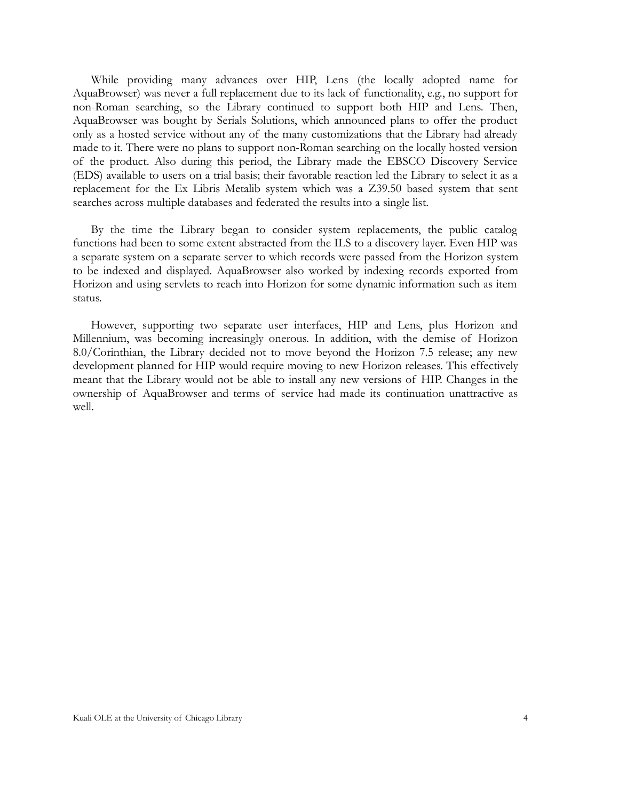While providing many advances over HIP, Lens (the locally adopted name for AquaBrowser) was never a full replacement due to its lack of functionality, e.g., no support for non-Roman searching, so the Library continued to support both HIP and Lens. Then, AquaBrowser was bought by Serials Solutions, which announced plans to offer the product only as a hosted service without any of the many customizations that the Library had already made to it. There were no plans to support non-Roman searching on the locally hosted version of the product. Also during this period, the Library made the EBSCO Discovery Service (EDS) available to users on a trial basis; their favorable reaction led the Library to select it as a replacement for the Ex Libris Metalib system which was a Z39.50 based system that sent searches across multiple databases and federated the results into a single list.

By the time the Library began to consider system replacements, the public catalog functions had been to some extent abstracted from the ILS to a discovery layer. Even HIP was a separate system on a separate server to which records were passed from the Horizon system to be indexed and displayed. AquaBrowser also worked by indexing records exported from Horizon and using servlets to reach into Horizon for some dynamic information such as item status.

However, supporting two separate user interfaces, HIP and Lens, plus Horizon and Millennium, was becoming increasingly onerous. In addition, with the demise of Horizon 8.0/Corinthian, the Library decided not to move beyond the Horizon 7.5 release; any new development planned for HIP would require moving to new Horizon releases. This effectively meant that the Library would not be able to install any new versions of HIP. Changes in the ownership of AquaBrowser and terms of service had made its continuation unattractive as well.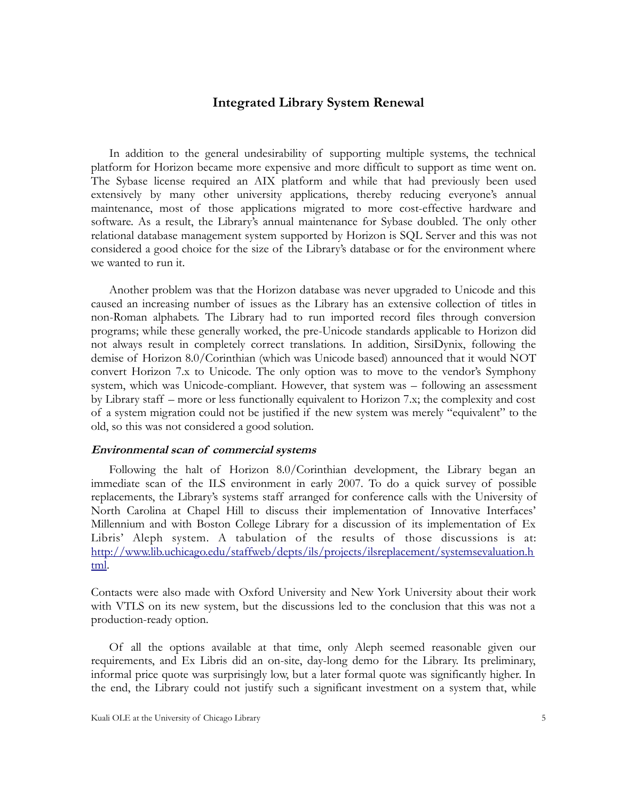#### <span id="page-8-0"></span>**Integrated Library System Renewal**

In addition to the general undesirability of supporting multiple systems, the technical platform for Horizon became more expensive and more difficult to support as time went on. The Sybase license required an AIX platform and while that had previously been used extensively by many other university applications, thereby reducing everyone's annual maintenance, most of those applications migrated to more cost-effective hardware and software. As a result, the Library's annual maintenance for Sybase doubled. The only other relational database management system supported by Horizon is SQL Server and this was not considered a good choice for the size of the Library's database or for the environment where we wanted to run it.

Another problem was that the Horizon database was never upgraded to Unicode and this caused an increasing number of issues as the Library has an extensive collection of titles in non-Roman alphabets. The Library had to run imported record files through conversion programs; while these generally worked, the pre-Unicode standards applicable to Horizon did not always result in completely correct translations. In addition, SirsiDynix, following the demise of Horizon 8.0/Corinthian (which was Unicode based) announced that it would NOT convert Horizon 7.x to Unicode. The only option was to move to the vendor's Symphony system, which was Unicode-compliant. However, that system was – following an assessment by Library staff – more or less functionally equivalent to Horizon 7.x; the complexity and cost of a system migration could not be justified if the new system was merely "equivalent" to the old, so this was not considered a good solution.

#### <span id="page-8-1"></span>**Environmental scan of commercial systems**

Following the halt of Horizon 8.0/Corinthian development, the Library began an immediate scan of the ILS environment in early 2007. To do a quick survey of possible replacements, the Library's systems staff arranged for conference calls with the University of North Carolina at Chapel Hill to discuss their implementation of Innovative Interfaces' Millennium and with Boston College Library for a discussion of its implementation of Ex Libris' Aleph system. A tabulation of the results of those discussions is at: [http://www.lib.uchicago.edu/staffweb/depts/ils/projects/ilsreplacement/systemsevaluation.h](http://www.lib.uchicago.edu/staffweb/depts/ils/projects/ilsreplacement/systemsevaluation.html) [tml.](http://www.lib.uchicago.edu/staffweb/depts/ils/projects/ilsreplacement/systemsevaluation.html)

Contacts were also made with Oxford University and New York University about their work with VTLS on its new system, but the discussions led to the conclusion that this was not a production-ready option.

Of all the options available at that time, only Aleph seemed reasonable given our requirements, and Ex Libris did an on-site, day-long demo for the Library. Its preliminary, informal price quote was surprisingly low, but a later formal quote was significantly higher. In the end, the Library could not justify such a significant investment on a system that, while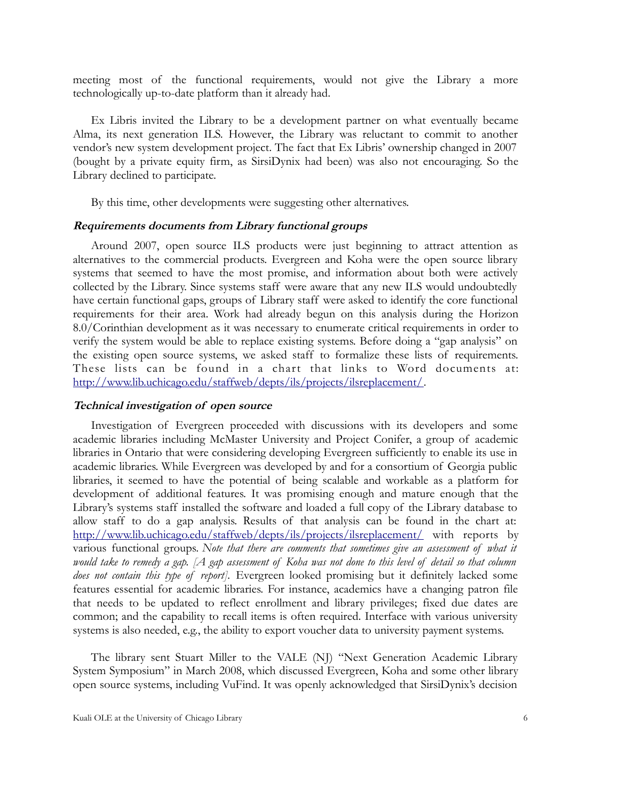meeting most of the functional requirements, would not give the Library a more technologically up-to-date platform than it already had.

Ex Libris invited the Library to be a development partner on what eventually became Alma, its next generation ILS. However, the Library was reluctant to commit to another vendor's new system development project. The fact that Ex Libris' ownership changed in 2007 (bought by a private equity firm, as SirsiDynix had been) was also not encouraging. So the Library declined to participate.

By this time, other developments were suggesting other alternatives.

#### <span id="page-9-0"></span>**Requirements documents from Library functional groups**

Around 2007, open source ILS products were just beginning to attract attention as alternatives to the commercial products. Evergreen and Koha were the open source library systems that seemed to have the most promise, and information about both were actively collected by the Library. Since systems staff were aware that any new ILS would undoubtedly have certain functional gaps, groups of Library staff were asked to identify the core functional requirements for their area. Work had already begun on this analysis during the Horizon 8.0/Corinthian development as it was necessary to enumerate critical requirements in order to verify the system would be able to replace existing systems. Before doing a "gap analysis" on the existing open source systems, we asked staff to formalize these lists of requirements. These lists can be found in a chart that links to Word documents at: [http://www.lib.uchicago.edu/staffweb/depts/ils/projects/ilsreplacement/.](http://www.lib.uchicago.edu/staffweb/depts/ils/projects/ilsreplacement/)

#### <span id="page-9-1"></span>**Technical investigation of open source**

Investigation of Evergreen proceeded with discussions with its developers and some academic libraries including McMaster University and Project Conifer, a group of academic libraries in Ontario that were considering developing Evergreen sufficiently to enable its use in academic libraries. While Evergreen was developed by and for a consortium of Georgia public libraries, it seemed to have the potential of being scalable and workable as a platform for development of additional features. It was promising enough and mature enough that the Library's systems staff installed the software and loaded a full copy of the Library database to allow staff to do a gap analysis. Results of that analysis can be found in the chart at: <http://www.lib.uchicago.edu/staffweb/depts/ils/projects/ilsreplacement/>with reports by various functional groups. *Note that there are comments that sometimes give an assessment of what it would take to remedy a gap. [A gap assessment of Koha was not done to this level of detail so that column does not contain this type of report].* Evergreen looked promising but it definitely lacked some features essential for academic libraries. For instance, academics have a changing patron file that needs to be updated to reflect enrollment and library privileges; fixed due dates are common; and the capability to recall items is often required. Interface with various university systems is also needed, e.g., the ability to export voucher data to university payment systems.

The library sent Stuart Miller to the VALE (NJ) "Next Generation Academic Library System Symposium" in March 2008, which discussed Evergreen, Koha and some other library open source systems, including VuFind. It was openly acknowledged that SirsiDynix's decision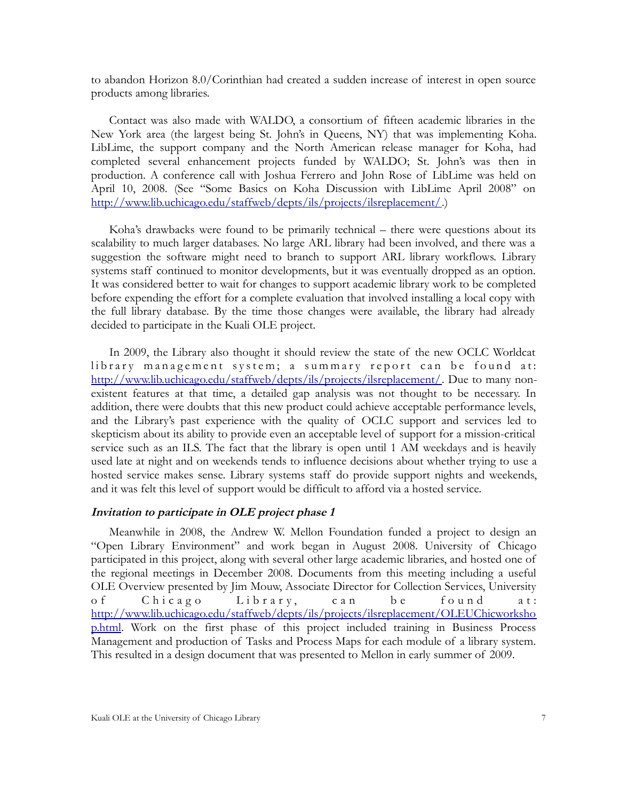to abandon Horizon 8.0/Corinthian had created a sudden increase of interest in open source products among libraries.

Contact was also made with WALDO, a consortium of fifteen academic libraries in the New York area (the largest being St. John's in Queens, NY) that was implementing Koha. LibLime, the support company and the North American release manager for Koha, had completed several enhancement projects funded by WALDO; St. John's was then in production. A conference call with Joshua Ferrero and John Rose of LibLime was held on April 10, 2008. (See "Some Basics on Koha Discussion with LibLime April 2008" on [http://www.lib.uchicago.edu/staffweb/depts/ils/projects/ilsreplacement/.](http://www.lib.uchicago.edu/staffweb/depts/ils/projects/ilsreplacement/))

Koha's drawbacks were found to be primarily technical – there were questions about its scalability to much larger databases. No large ARL library had been involved, and there was a suggestion the software might need to branch to support ARL library workflows. Library systems staff continued to monitor developments, but it was eventually dropped as an option. It was considered better to wait for changes to support academic library work to be completed before expending the effort for a complete evaluation that involved installing a local copy with the full library database. By the time those changes were available, the library had already decided to participate in the Kuali OLE project.

In 2009, the Library also thought it should review the state of the new OCLC Worldcat library management system; a summary report can be found at: [http://www.lib.uchicago.edu/staffweb/depts/ils/projects/ilsreplacement/.](http://www.lib.uchicago.edu/staffweb/depts/ils/projects/ilsreplacement/) Due to many nonexistent features at that time, a detailed gap analysis was not thought to be necessary. In addition, there were doubts that this new product could achieve acceptable performance levels, and the Library's past experience with the quality of OCLC support and services led to skepticism about its ability to provide even an acceptable level of support for a mission-critical service such as an ILS. The fact that the library is open until 1 AM weekdays and is heavily used late at night and on weekends tends to influence decisions about whether trying to use a hosted service makes sense. Library systems staff do provide support nights and weekends, and it was felt this level of support would be difficult to afford via a hosted service.

#### <span id="page-10-0"></span>**Invitation to participate in OLE project phase 1**

Meanwhile in 2008, the Andrew W. Mellon Foundation funded a project to design an "Open Library Environment" and work began in August 2008. University of Chicago participated in this project, along with several other large academic libraries, and hosted one of the regional meetings in December 2008. Documents from this meeting including a useful OLE Overview presented by Jim Mouw, Associate Director for Collection Services, University of Chicago Library, can be found at: [http://www.lib.uchicago.edu/staffweb/depts/ils/projects/ilsreplacement/OLEUChicworksho](http://www.lib.uchicago.edu/staffweb/depts/ils/projects/ilsreplacement/OLEUChicworkshop.html) [p.html.](http://www.lib.uchicago.edu/staffweb/depts/ils/projects/ilsreplacement/OLEUChicworkshop.html) Work on the first phase of this project included training in Business Process Management and production of Tasks and Process Maps for each module of a library system. This resulted in a design document that was presented to Mellon in early summer of 2009.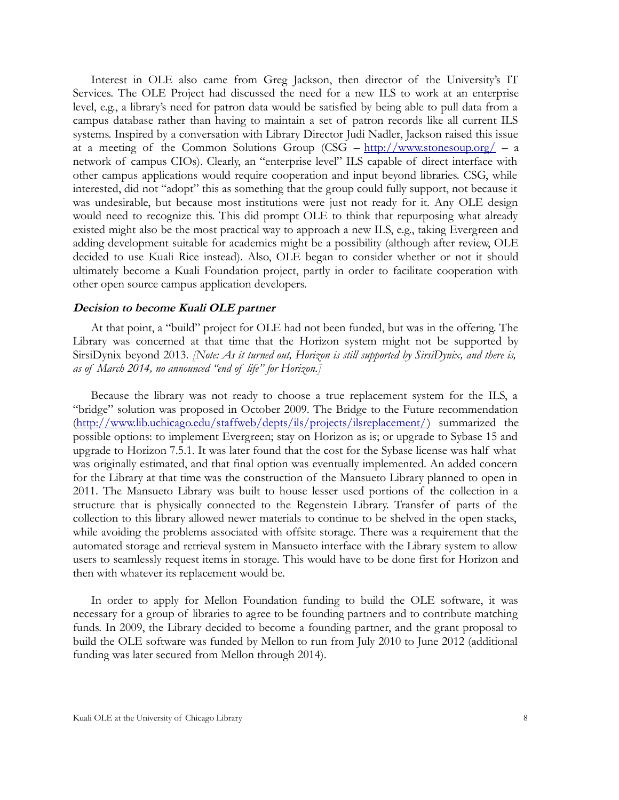Interest in OLE also came from Greg Jackson, then director of the University's IT Services. The OLE Project had discussed the need for a new ILS to work at an enterprise level, e.g., a library's need for patron data would be satisfied by being able to pull data from a campus database rather than having to maintain a set of patron records like all current ILS systems. Inspired by a conversation with Library Director Judi Nadler, Jackson raised this issue at a meeting of the Common Solutions Group (CSG – <http://www.stonesoup.org/>– a network of campus CIOs). Clearly, an "enterprise level" ILS capable of direct interface with other campus applications would require cooperation and input beyond libraries. CSG, while interested, did not "adopt" this as something that the group could fully support, not because it was undesirable, but because most institutions were just not ready for it. Any OLE design would need to recognize this. This did prompt OLE to think that repurposing what already existed might also be the most practical way to approach a new ILS, e.g., taking Evergreen and adding development suitable for academics might be a possibility (although after review, OLE decided to use Kuali Rice instead). Also, OLE began to consider whether or not it should ultimately become a Kuali Foundation project, partly in order to facilitate cooperation with other open source campus application developers.

#### <span id="page-11-0"></span>**Decision to become Kuali OLE partner**

At that point, a "build" project for OLE had not been funded, but was in the offering. The Library was concerned at that time that the Horizon system might not be supported by SirsiDynix beyond 2013. *[Note: As it turned out, Horizon is still supported by SirsiDynix, and there is, as of March 2014, no announced "end of life" for Horizon.]*

Because the library was not ready to choose a true replacement system for the ILS, a "bridge" solution was proposed in October 2009. The Bridge to the Future recommendation [\(http://www.lib.uchicago.edu/staffweb/depts/ils/projects/ilsreplacement/\)](http://www.lib.uchicago.edu/staffweb/depts/ils/projects/ilsreplacement/) summarized the possible options: to implement Evergreen; stay on Horizon as is; or upgrade to Sybase 15 and upgrade to Horizon 7.5.1. It was later found that the cost for the Sybase license was half what was originally estimated, and that final option was eventually implemented. An added concern for the Library at that time was the construction of the Mansueto Library planned to open in 2011. The Mansueto Library was built to house lesser used portions of the collection in a structure that is physically connected to the Regenstein Library. Transfer of parts of the collection to this library allowed newer materials to continue to be shelved in the open stacks, while avoiding the problems associated with offsite storage. There was a requirement that the automated storage and retrieval system in Mansueto interface with the Library system to allow users to seamlessly request items in storage. This would have to be done first for Horizon and then with whatever its replacement would be.

In order to apply for Mellon Foundation funding to build the OLE software, it was necessary for a group of libraries to agree to be founding partners and to contribute matching funds. In 2009, the Library decided to become a founding partner, and the grant proposal to build the OLE software was funded by Mellon to run from July 2010 to June 2012 (additional funding was later secured from Mellon through 2014).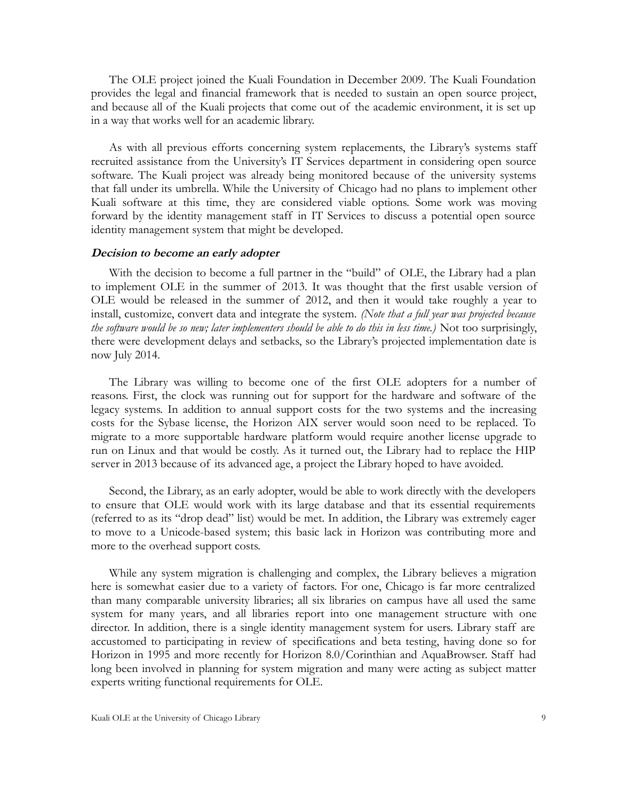The OLE project joined the Kuali Foundation in December 2009. The Kuali Foundation provides the legal and financial framework that is needed to sustain an open source project, and because all of the Kuali projects that come out of the academic environment, it is set up in a way that works well for an academic library.

As with all previous efforts concerning system replacements, the Library's systems staff recruited assistance from the University's IT Services department in considering open source software. The Kuali project was already being monitored because of the university systems that fall under its umbrella. While the University of Chicago had no plans to implement other Kuali software at this time, they are considered viable options. Some work was moving forward by the identity management staff in IT Services to discuss a potential open source identity management system that might be developed.

#### <span id="page-12-0"></span>**Decision to become an early adopter**

With the decision to become a full partner in the "build" of OLE, the Library had a plan to implement OLE in the summer of 2013. It was thought that the first usable version of OLE would be released in the summer of 2012, and then it would take roughly a year to install, customize, convert data and integrate the system. *(Note that a full year was projected because the software would be so new; later implementers should be able to do this in less time.)* Not too surprisingly, there were development delays and setbacks, so the Library's projected implementation date is now July 2014.

The Library was willing to become one of the first OLE adopters for a number of reasons. First, the clock was running out for support for the hardware and software of the legacy systems. In addition to annual support costs for the two systems and the increasing costs for the Sybase license, the Horizon AIX server would soon need to be replaced. To migrate to a more supportable hardware platform would require another license upgrade to run on Linux and that would be costly. As it turned out, the Library had to replace the HIP server in 2013 because of its advanced age, a project the Library hoped to have avoided.

Second, the Library, as an early adopter, would be able to work directly with the developers to ensure that OLE would work with its large database and that its essential requirements (referred to as its "drop dead" list) would be met. In addition, the Library was extremely eager to move to a Unicode-based system; this basic lack in Horizon was contributing more and more to the overhead support costs.

While any system migration is challenging and complex, the Library believes a migration here is somewhat easier due to a variety of factors. For one, Chicago is far more centralized than many comparable university libraries; all six libraries on campus have all used the same system for many years, and all libraries report into one management structure with one director. In addition, there is a single identity management system for users. Library staff are accustomed to participating in review of specifications and beta testing, having done so for Horizon in 1995 and more recently for Horizon 8.0/Corinthian and AquaBrowser. Staff had long been involved in planning for system migration and many were acting as subject matter experts writing functional requirements for OLE.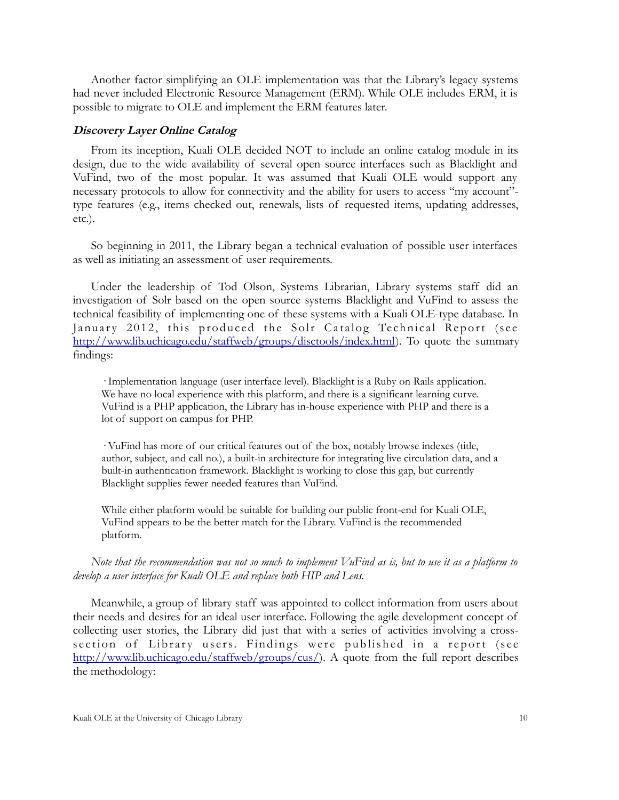Another factor simplifying an OLE implementation was that the Library's legacy systems had never included Electronic Resource Management (ERM). While OLE includes ERM, it is possible to migrate to OLE and implement the ERM features later.

#### <span id="page-13-0"></span>**Discovery Layer Online Catalog**

From its inception, Kuali OLE decided NOT to include an online catalog module in its design, due to the wide availability of several open source interfaces such as Blacklight and VuFind, two of the most popular. It was assumed that Kuali OLE would support any necessary protocols to allow for connectivity and the ability for users to access "my account" type features (e.g., items checked out, renewals, lists of requested items, updating addresses, etc.).

So beginning in 2011, the Library began a technical evaluation of possible user interfaces as well as initiating an assessment of user requirements.

Under the leadership of Tod Olson, Systems Librarian, Library systems staff did an investigation of Solr based on the open source systems Blacklight and VuFind to assess the technical feasibility of implementing one of these systems with a Kuali OLE-type database. In January 2012, this produced the Solr Catalog Technical Report (see [http://www.lib.uchicago.edu/staffweb/groups/disctools/index.html\)](http://www.lib.uchicago.edu/staffweb/groups/disctools/index.html). To quote the summary findings:

· Implementation language (user interface level). Blacklight is a Ruby on Rails application. We have no local experience with this platform, and there is a significant learning curve. VuFind is a PHP application, the Library has in-house experience with PHP and there is a lot of support on campus for PHP.

· VuFind has more of our critical features out of the box, notably browse indexes (title, author, subject, and call no.), a built-in architecture for integrating live circulation data, and a built-in authentication framework. Blacklight is working to close this gap, but currently Blacklight supplies fewer needed features than VuFind.

While either platform would be suitable for building our public front-end for Kuali OLE, VuFind appears to be the better match for the Library. VuFind is the recommended platform.

*Note that the recommendation was not so much to implement VuFind as is, but to use it as a platform to develop a user interface for Kuali OLE and replace both HIP and Lens.*

Meanwhile, a group of library staff was appointed to collect information from users about their needs and desires for an ideal user interface. Following the agile development concept of collecting user stories, the Library did just that with a series of activities involving a crosssection of Library users. Findings were published in a report (see [http://www.lib.uchicago.edu/staffweb/groups/cus/\)](http://www.lib.uchicago.edu/staffweb/groups/cus/). A quote from the full report describes the methodology: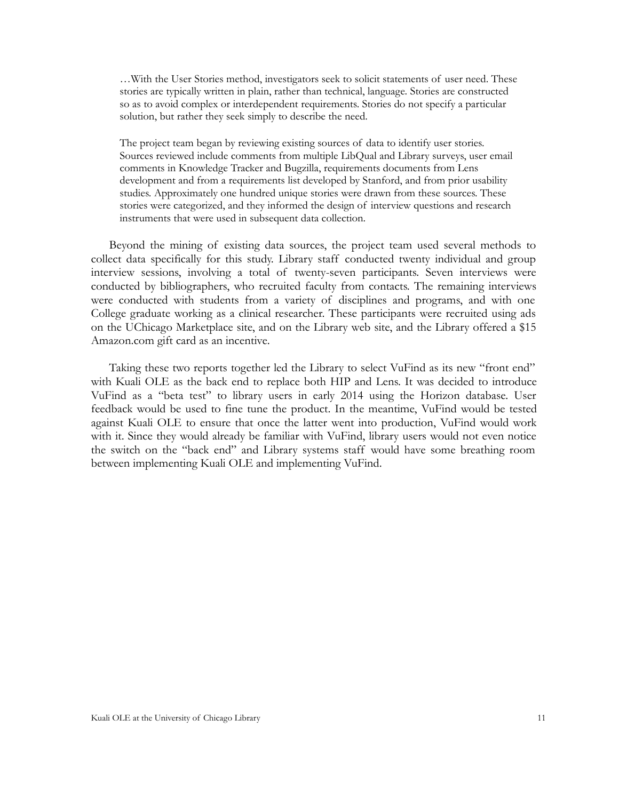…With the User Stories method, investigators seek to solicit statements of user need. These stories are typically written in plain, rather than technical, language. Stories are constructed so as to avoid complex or interdependent requirements. Stories do not specify a particular solution, but rather they seek simply to describe the need.

The project team began by reviewing existing sources of data to identify user stories. Sources reviewed include comments from multiple LibQual and Library surveys, user email comments in Knowledge Tracker and Bugzilla, requirements documents from Lens development and from a requirements list developed by Stanford, and from prior usability studies. Approximately one hundred unique stories were drawn from these sources. These stories were categorized, and they informed the design of interview questions and research instruments that were used in subsequent data collection.

Beyond the mining of existing data sources, the project team used several methods to collect data specifically for this study. Library staff conducted twenty individual and group interview sessions, involving a total of twenty-seven participants. Seven interviews were conducted by bibliographers, who recruited faculty from contacts. The remaining interviews were conducted with students from a variety of disciplines and programs, and with one College graduate working as a clinical researcher. These participants were recruited using ads on the UChicago Marketplace site, and on the Library web site, and the Library offered a \$15 Amazon.com gift card as an incentive.

Taking these two reports together led the Library to select VuFind as its new "front end" with Kuali OLE as the back end to replace both HIP and Lens. It was decided to introduce VuFind as a "beta test" to library users in early 2014 using the Horizon database. User feedback would be used to fine tune the product. In the meantime, VuFind would be tested against Kuali OLE to ensure that once the latter went into production, VuFind would work with it. Since they would already be familiar with VuFind, library users would not even notice the switch on the "back end" and Library systems staff would have some breathing room between implementing Kuali OLE and implementing VuFind.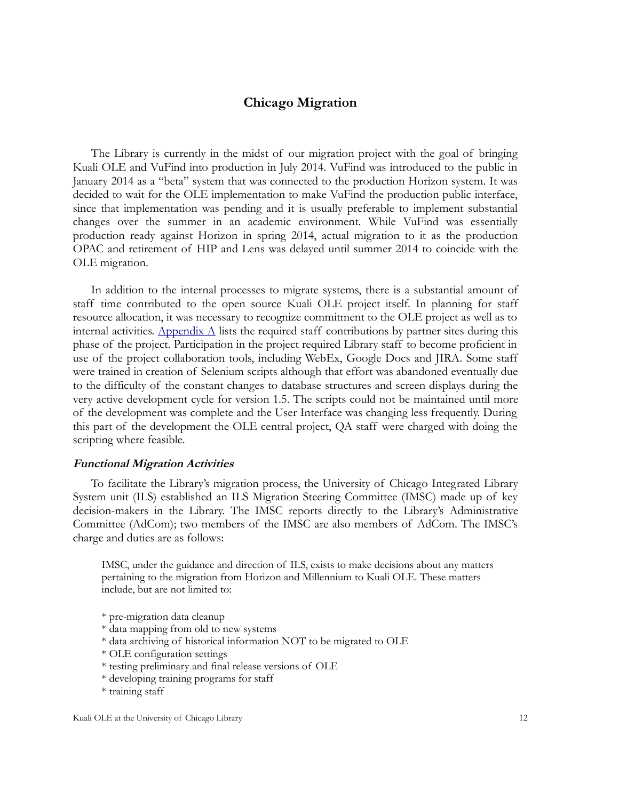#### <span id="page-15-0"></span>**Chicago Migration**

The Library is currently in the midst of our migration project with the goal of bringing Kuali OLE and VuFind into production in July 2014. VuFind was introduced to the public in January 2014 as a "beta" system that was connected to the production Horizon system. It was decided to wait for the OLE implementation to make VuFind the production public interface, since that implementation was pending and it is usually preferable to implement substantial changes over the summer in an academic environment. While VuFind was essentially production ready against Horizon in spring 2014, actual migration to it as the production OPAC and retirement of HIP and Lens was delayed until summer 2014 to coincide with the OLE migration.

In addition to the internal processes to migrate systems, there is a substantial amount of staff time contributed to the open source Kuali OLE project itself. In planning for staff resource allocation, it was necessary to recognize commitment to the OLE project as well as to internal activities. Appendix  $\Lambda$  lists the required staff contributions by partner sites during this phase of the project. Participation in the project required Library staff to become proficient in use of the project collaboration tools, including WebEx, Google Docs and JIRA. Some staff were trained in creation of Selenium scripts although that effort was abandoned eventually due to the difficulty of the constant changes to database structures and screen displays during the very active development cycle for version 1.5. The scripts could not be maintained until more of the development was complete and the User Interface was changing less frequently. During this part of the development the OLE central project, QA staff were charged with doing the scripting where feasible.

#### <span id="page-15-1"></span>**Functional Migration Activities**

To facilitate the Library's migration process, the University of Chicago Integrated Library System unit (ILS) established an ILS Migration Steering Committee (IMSC) made up of key decision-makers in the Library. The IMSC reports directly to the Library's Administrative Committee (AdCom); two members of the IMSC are also members of AdCom. The IMSC's charge and duties are as follows:

IMSC, under the guidance and direction of ILS, exists to make decisions about any matters pertaining to the migration from Horizon and Millennium to Kuali OLE. These matters include, but are not limited to:

\* pre-migration data cleanup

- \* data mapping from old to new systems
- \* data archiving of historical information NOT to be migrated to OLE
- \* OLE configuration settings
- \* testing preliminary and final release versions of OLE
- \* developing training programs for staff
- \* training staff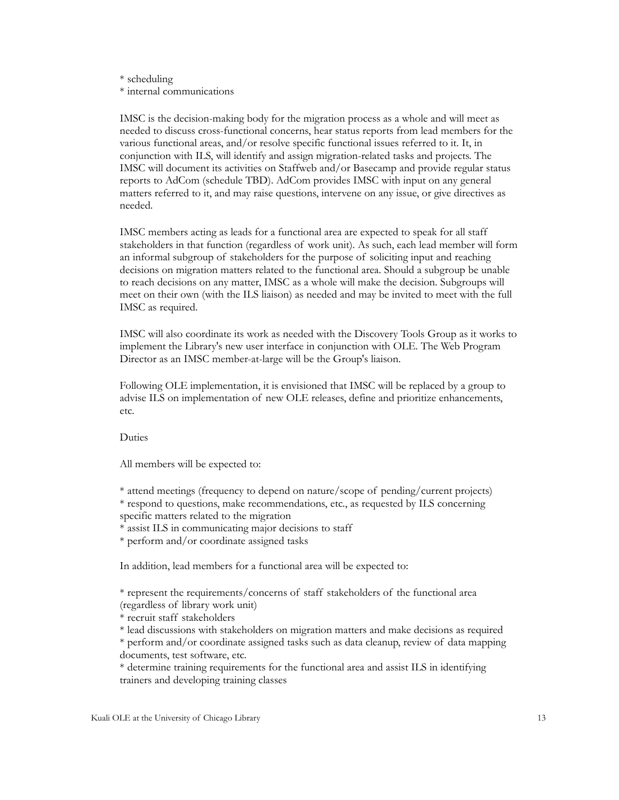#### \* scheduling \* internal communications

IMSC is the decision-making body for the migration process as a whole and will meet as needed to discuss cross-functional concerns, hear status reports from lead members for the various functional areas, and/or resolve specific functional issues referred to it. It, in conjunction with ILS, will identify and assign migration-related tasks and projects. The IMSC will document its activities on Staffweb and/or Basecamp and provide regular status reports to AdCom (schedule TBD). AdCom provides IMSC with input on any general matters referred to it, and may raise questions, intervene on any issue, or give directives as needed.

IMSC members acting as leads for a functional area are expected to speak for all staff stakeholders in that function (regardless of work unit). As such, each lead member will form an informal subgroup of stakeholders for the purpose of soliciting input and reaching decisions on migration matters related to the functional area. Should a subgroup be unable to reach decisions on any matter, IMSC as a whole will make the decision. Subgroups will meet on their own (with the ILS liaison) as needed and may be invited to meet with the full IMSC as required.

IMSC will also coordinate its work as needed with the Discovery Tools Group as it works to implement the Library's new user interface in conjunction with OLE. The Web Program Director as an IMSC member-at-large will be the Group's liaison.

Following OLE implementation, it is envisioned that IMSC will be replaced by a group to advise ILS on implementation of new OLE releases, define and prioritize enhancements, etc.

Duties

All members will be expected to:

\* attend meetings (frequency to depend on nature/scope of pending/current projects) \* respond to questions, make recommendations, etc., as requested by ILS concerning specific matters related to the migration

\* assist ILS in communicating major decisions to staff

\* perform and/or coordinate assigned tasks

In addition, lead members for a functional area will be expected to:

\* represent the requirements/concerns of staff stakeholders of the functional area (regardless of library work unit)

\* recruit staff stakeholders

\* lead discussions with stakeholders on migration matters and make decisions as required \* perform and/or coordinate assigned tasks such as data cleanup, review of data mapping documents, test software, etc.

\* determine training requirements for the functional area and assist ILS in identifying trainers and developing training classes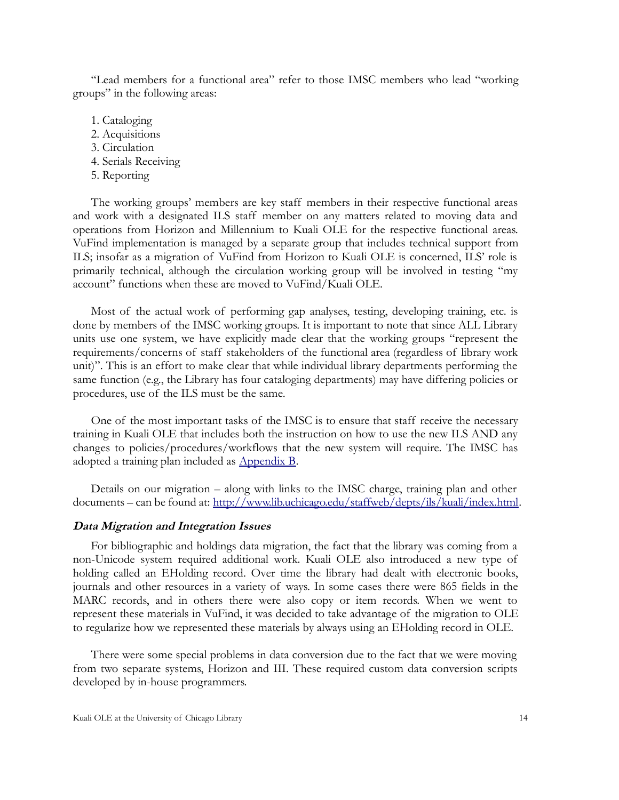"Lead members for a functional area" refer to those IMSC members who lead "working groups" in the following areas:

- 1. Cataloging
- 2. Acquisitions
- 3. Circulation
- 4. Serials Receiving
- 5. Reporting

The working groups' members are key staff members in their respective functional areas and work with a designated ILS staff member on any matters related to moving data and operations from Horizon and Millennium to Kuali OLE for the respective functional areas. VuFind implementation is managed by a separate group that includes technical support from ILS; insofar as a migration of VuFind from Horizon to Kuali OLE is concerned, ILS' role is primarily technical, although the circulation working group will be involved in testing "my account" functions when these are moved to VuFind/Kuali OLE.

Most of the actual work of performing gap analyses, testing, developing training, etc. is done by members of the IMSC working groups. It is important to note that since ALL Library units use one system, we have explicitly made clear that the working groups "represent the requirements/concerns of staff stakeholders of the functional area (regardless of library work unit)". This is an effort to make clear that while individual library departments performing the same function (e.g., the Library has four cataloging departments) may have differing policies or procedures, use of the ILS must be the same.

One of the most important tasks of the IMSC is to ensure that staff receive the necessary training in Kuali OLE that includes both the instruction on how to use the new ILS AND any changes to policies/procedures/workflows that the new system will require. The IMSC has adopted a training plan included as [Appendix B.](https://foss4lib.org/case-study/uchicago/appendices/appendix-b.-training-plan)

Details on our migration – along with links to the IMSC charge, training plan and other documents – can be found at: [http://www.lib.uchicago.edu/staffweb/depts/ils/kuali/index.html.](http://www.lib.uchicago.edu/staffweb/depts/ils/kuali/index.html)

#### <span id="page-17-0"></span>**Data Migration and Integration Issues**

For bibliographic and holdings data migration, the fact that the library was coming from a non-Unicode system required additional work. Kuali OLE also introduced a new type of holding called an EHolding record. Over time the library had dealt with electronic books, journals and other resources in a variety of ways. In some cases there were 865 fields in the MARC records, and in others there were also copy or item records. When we went to represent these materials in VuFind, it was decided to take advantage of the migration to OLE to regularize how we represented these materials by always using an EHolding record in OLE.

There were some special problems in data conversion due to the fact that we were moving from two separate systems, Horizon and III. These required custom data conversion scripts developed by in-house programmers.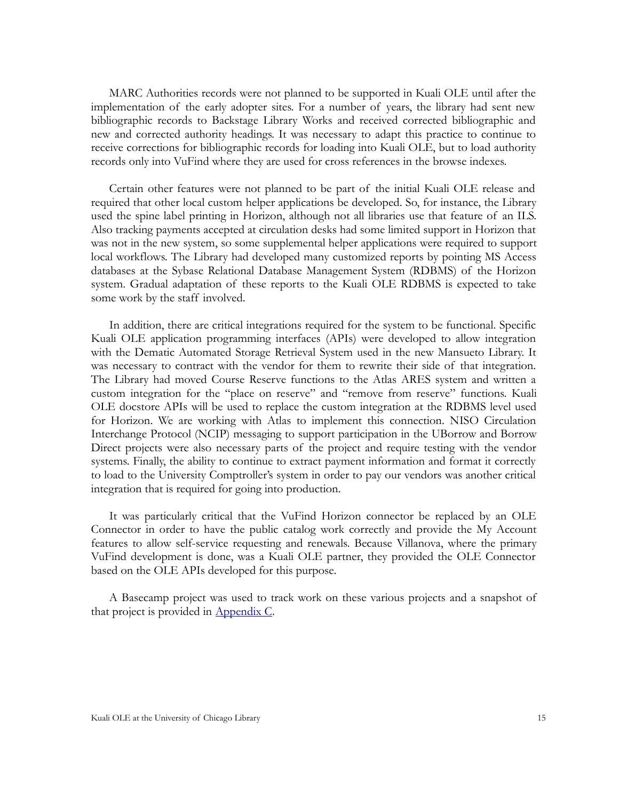MARC Authorities records were not planned to be supported in Kuali OLE until after the implementation of the early adopter sites. For a number of years, the library had sent new bibliographic records to Backstage Library Works and received corrected bibliographic and new and corrected authority headings. It was necessary to adapt this practice to continue to receive corrections for bibliographic records for loading into Kuali OLE, but to load authority records only into VuFind where they are used for cross references in the browse indexes.

Certain other features were not planned to be part of the initial Kuali OLE release and required that other local custom helper applications be developed. So, for instance, the Library used the spine label printing in Horizon, although not all libraries use that feature of an ILS. Also tracking payments accepted at circulation desks had some limited support in Horizon that was not in the new system, so some supplemental helper applications were required to support local workflows. The Library had developed many customized reports by pointing MS Access databases at the Sybase Relational Database Management System (RDBMS) of the Horizon system. Gradual adaptation of these reports to the Kuali OLE RDBMS is expected to take some work by the staff involved.

In addition, there are critical integrations required for the system to be functional. Specific Kuali OLE application programming interfaces (APIs) were developed to allow integration with the Dematic Automated Storage Retrieval System used in the new Mansueto Library. It was necessary to contract with the vendor for them to rewrite their side of that integration. The Library had moved Course Reserve functions to the Atlas ARES system and written a custom integration for the "place on reserve" and "remove from reserve" functions. Kuali OLE docstore APIs will be used to replace the custom integration at the RDBMS level used for Horizon. We are working with Atlas to implement this connection. NISO Circulation Interchange Protocol (NCIP) messaging to support participation in the UBorrow and Borrow Direct projects were also necessary parts of the project and require testing with the vendor systems. Finally, the ability to continue to extract payment information and format it correctly to load to the University Comptroller's system in order to pay our vendors was another critical integration that is required for going into production.

It was particularly critical that the VuFind Horizon connector be replaced by an OLE Connector in order to have the public catalog work correctly and provide the My Account features to allow self-service requesting and renewals. Because Villanova, where the primary VuFind development is done, was a Kuali OLE partner, they provided the OLE Connector based on the OLE APIs developed for this purpose.

A Basecamp project was used to track work on these various projects and a snapshot of that project is provided in [Appendix C.](https://foss4lib.org/case-study/uchicago/appendices/appendix-c.-basecamp-project-snapshot-april-2014)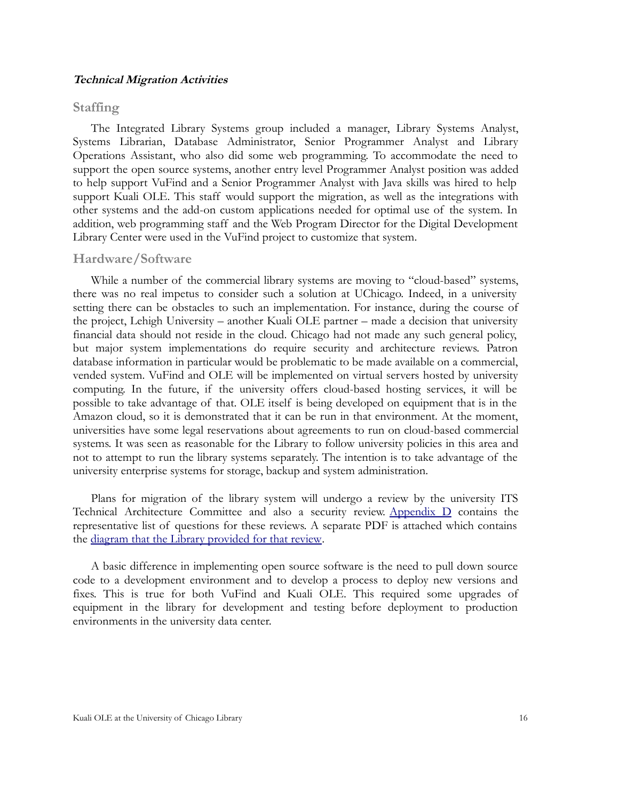#### <span id="page-19-0"></span>**Technical Migration Activities**

#### <span id="page-19-1"></span>**Staffing**

The Integrated Library Systems group included a manager, Library Systems Analyst, Systems Librarian, Database Administrator, Senior Programmer Analyst and Library Operations Assistant, who also did some web programming. To accommodate the need to support the open source systems, another entry level Programmer Analyst position was added to help support VuFind and a Senior Programmer Analyst with Java skills was hired to help support Kuali OLE. This staff would support the migration, as well as the integrations with other systems and the add-on custom applications needed for optimal use of the system. In addition, web programming staff and the Web Program Director for the Digital Development Library Center were used in the VuFind project to customize that system.

#### <span id="page-19-2"></span>**Hardware/Software**

While a number of the commercial library systems are moving to "cloud-based" systems, there was no real impetus to consider such a solution at UChicago. Indeed, in a university setting there can be obstacles to such an implementation. For instance, during the course of the project, Lehigh University – another Kuali OLE partner – made a decision that university financial data should not reside in the cloud. Chicago had not made any such general policy, but major system implementations do require security and architecture reviews. Patron database information in particular would be problematic to be made available on a commercial, vended system. VuFind and OLE will be implemented on virtual servers hosted by university computing. In the future, if the university offers cloud-based hosting services, it will be possible to take advantage of that. OLE itself is being developed on equipment that is in the Amazon cloud, so it is demonstrated that it can be run in that environment. At the moment, universities have some legal reservations about agreements to run on cloud-based commercial systems. It was seen as reasonable for the Library to follow university policies in this area and not to attempt to run the library systems separately. The intention is to take advantage of the university enterprise systems for storage, backup and system administration.

Plans for migration of the library system will undergo a review by the university ITS Technical Architecture Committee and also a security review. Appendix  $D$  contains the representative list of questions for these reviews. A separate PDF is attached which contains the [diagram that the Library provided for that review.](https://foss4lib.org/sites/default/files/inline/UChicago)

A basic difference in implementing open source software is the need to pull down source code to a development environment and to develop a process to deploy new versions and fixes. This is true for both VuFind and Kuali OLE. This required some upgrades of equipment in the library for development and testing before deployment to production environments in the university data center.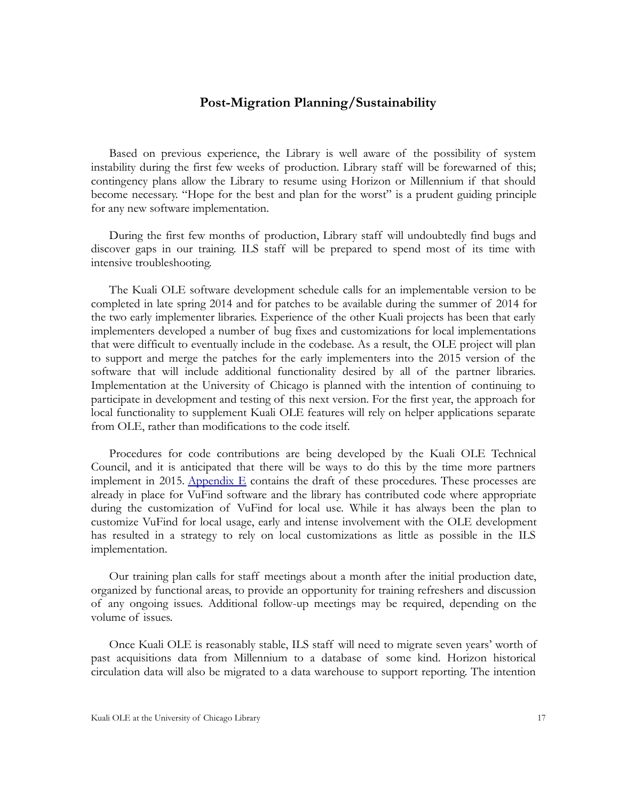#### <span id="page-20-0"></span>**Post-Migration Planning/Sustainability**

Based on previous experience, the Library is well aware of the possibility of system instability during the first few weeks of production. Library staff will be forewarned of this; contingency plans allow the Library to resume using Horizon or Millennium if that should become necessary. "Hope for the best and plan for the worst" is a prudent guiding principle for any new software implementation.

During the first few months of production, Library staff will undoubtedly find bugs and discover gaps in our training. ILS staff will be prepared to spend most of its time with intensive troubleshooting.

The Kuali OLE software development schedule calls for an implementable version to be completed in late spring 2014 and for patches to be available during the summer of 2014 for the two early implementer libraries. Experience of the other Kuali projects has been that early implementers developed a number of bug fixes and customizations for local implementations that were difficult to eventually include in the codebase. As a result, the OLE project will plan to support and merge the patches for the early implementers into the 2015 version of the software that will include additional functionality desired by all of the partner libraries. Implementation at the University of Chicago is planned with the intention of continuing to participate in development and testing of this next version. For the first year, the approach for local functionality to supplement Kuali OLE features will rely on helper applications separate from OLE, rather than modifications to the code itself.

Procedures for code contributions are being developed by the Kuali OLE Technical Council, and it is anticipated that there will be ways to do this by the time more partners implement in 2015. Appendix  $E$  contains the draft of these procedures. These processes are already in place for VuFind software and the library has contributed code where appropriate during the customization of VuFind for local use. While it has always been the plan to customize VuFind for local usage, early and intense involvement with the OLE development has resulted in a strategy to rely on local customizations as little as possible in the ILS implementation.

Our training plan calls for staff meetings about a month after the initial production date, organized by functional areas, to provide an opportunity for training refreshers and discussion of any ongoing issues. Additional follow-up meetings may be required, depending on the volume of issues.

Once Kuali OLE is reasonably stable, ILS staff will need to migrate seven years' worth of past acquisitions data from Millennium to a database of some kind. Horizon historical circulation data will also be migrated to a data warehouse to support reporting. The intention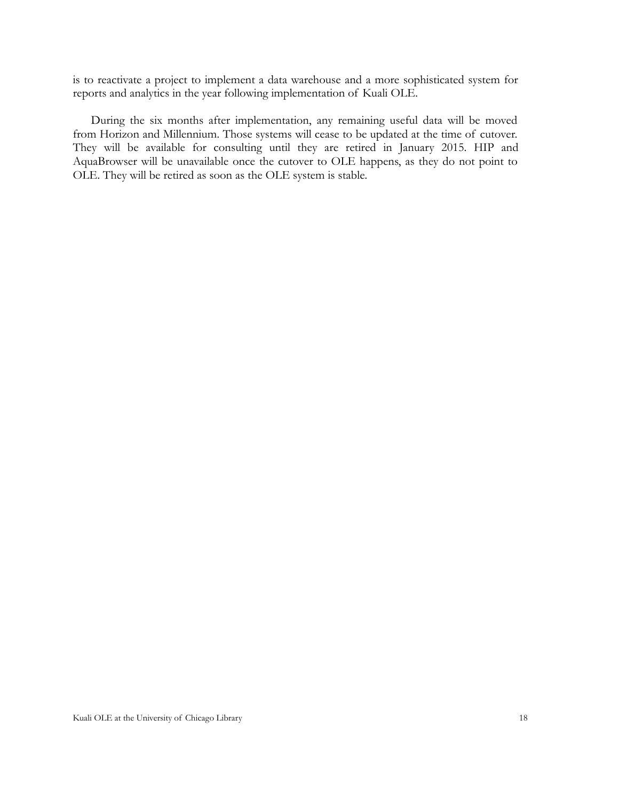is to reactivate a project to implement a data warehouse and a more sophisticated system for reports and analytics in the year following implementation of Kuali OLE.

During the six months after implementation, any remaining useful data will be moved from Horizon and Millennium. Those systems will cease to be updated at the time of cutover. They will be available for consulting until they are retired in January 2015. HIP and AquaBrowser will be unavailable once the cutover to OLE happens, as they do not point to OLE. They will be retired as soon as the OLE system is stable.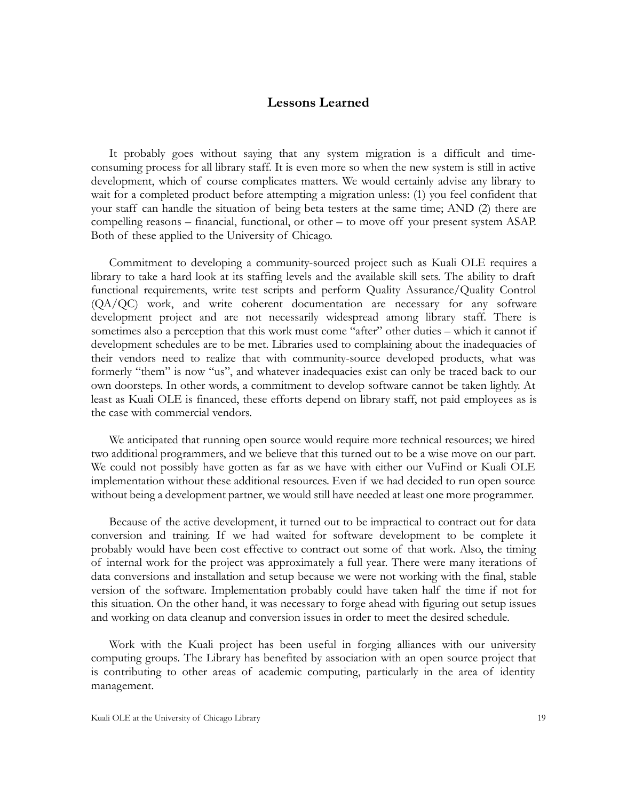#### <span id="page-22-0"></span>**Lessons Learned**

It probably goes without saying that any system migration is a difficult and timeconsuming process for all library staff. It is even more so when the new system is still in active development, which of course complicates matters. We would certainly advise any library to wait for a completed product before attempting a migration unless: (1) you feel confident that your staff can handle the situation of being beta testers at the same time; AND (2) there are compelling reasons – financial, functional, or other – to move off your present system ASAP. Both of these applied to the University of Chicago.

Commitment to developing a community-sourced project such as Kuali OLE requires a library to take a hard look at its staffing levels and the available skill sets. The ability to draft functional requirements, write test scripts and perform Quality Assurance/Quality Control (QA/QC) work, and write coherent documentation are necessary for any software development project and are not necessarily widespread among library staff. There is sometimes also a perception that this work must come "after" other duties – which it cannot if development schedules are to be met. Libraries used to complaining about the inadequacies of their vendors need to realize that with community-source developed products, what was formerly "them" is now "us", and whatever inadequacies exist can only be traced back to our own doorsteps. In other words, a commitment to develop software cannot be taken lightly. At least as Kuali OLE is financed, these efforts depend on library staff, not paid employees as is the case with commercial vendors.

We anticipated that running open source would require more technical resources; we hired two additional programmers, and we believe that this turned out to be a wise move on our part. We could not possibly have gotten as far as we have with either our VuFind or Kuali OLE implementation without these additional resources. Even if we had decided to run open source without being a development partner, we would still have needed at least one more programmer.

Because of the active development, it turned out to be impractical to contract out for data conversion and training. If we had waited for software development to be complete it probably would have been cost effective to contract out some of that work. Also, the timing of internal work for the project was approximately a full year. There were many iterations of data conversions and installation and setup because we were not working with the final, stable version of the software. Implementation probably could have taken half the time if not for this situation. On the other hand, it was necessary to forge ahead with figuring out setup issues and working on data cleanup and conversion issues in order to meet the desired schedule.

Work with the Kuali project has been useful in forging alliances with our university computing groups. The Library has benefited by association with an open source project that is contributing to other areas of academic computing, particularly in the area of identity management.